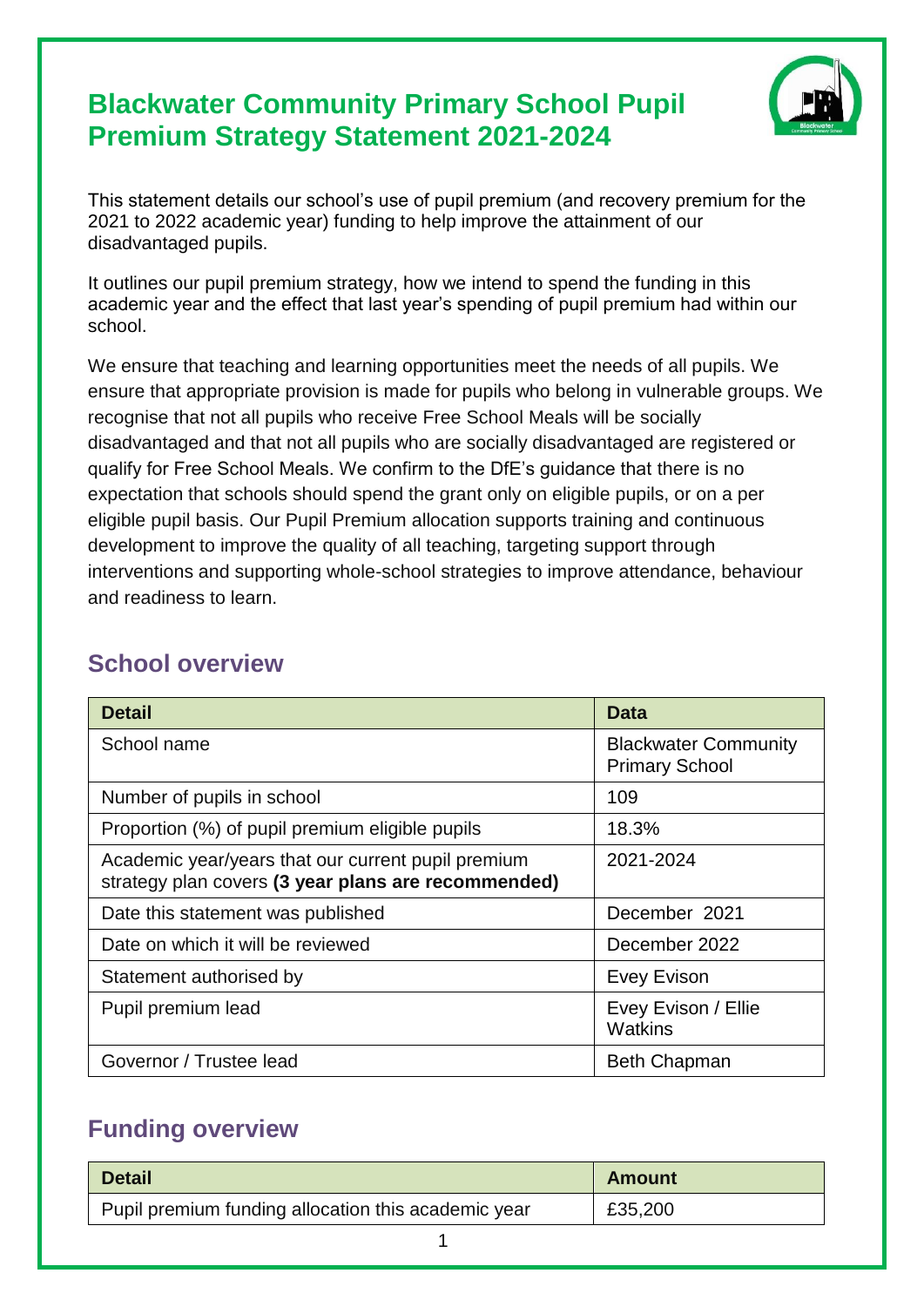# **Blackwater Community Primary School Pupil Premium Strategy Statement 2021-2024**



This statement details our school's use of pupil premium (and recovery premium for the 2021 to 2022 academic year) funding to help improve the attainment of our disadvantaged pupils.

It outlines our pupil premium strategy, how we intend to spend the funding in this academic year and the effect that last year's spending of pupil premium had within our school.

We ensure that teaching and learning opportunities meet the needs of all pupils. We ensure that appropriate provision is made for pupils who belong in vulnerable groups. We recognise that not all pupils who receive Free School Meals will be socially disadvantaged and that not all pupils who are socially disadvantaged are registered or qualify for Free School Meals. We confirm to the DfE's guidance that there is no expectation that schools should spend the grant only on eligible pupils, or on a per eligible pupil basis. Our Pupil Premium allocation supports training and continuous development to improve the quality of all teaching, targeting support through interventions and supporting whole-school strategies to improve attendance, behaviour and readiness to learn.

| <b>Detail</b>                                                                                             | <b>Data</b>                                          |
|-----------------------------------------------------------------------------------------------------------|------------------------------------------------------|
| School name                                                                                               | <b>Blackwater Community</b><br><b>Primary School</b> |
| Number of pupils in school                                                                                | 109                                                  |
| Proportion (%) of pupil premium eligible pupils                                                           | 18.3%                                                |
| Academic year/years that our current pupil premium<br>strategy plan covers (3 year plans are recommended) | 2021-2024                                            |
| Date this statement was published                                                                         | December 2021                                        |
| Date on which it will be reviewed                                                                         | December 2022                                        |
| Statement authorised by                                                                                   | <b>Evey Evison</b>                                   |
| Pupil premium lead                                                                                        | Evey Evison / Ellie<br>Watkins                       |
| Governor / Trustee lead                                                                                   | <b>Beth Chapman</b>                                  |

## **School overview**

## **Funding overview**

| <b>Detail</b>                                       | <b>Amount</b> |
|-----------------------------------------------------|---------------|
| Pupil premium funding allocation this academic year | £35,200       |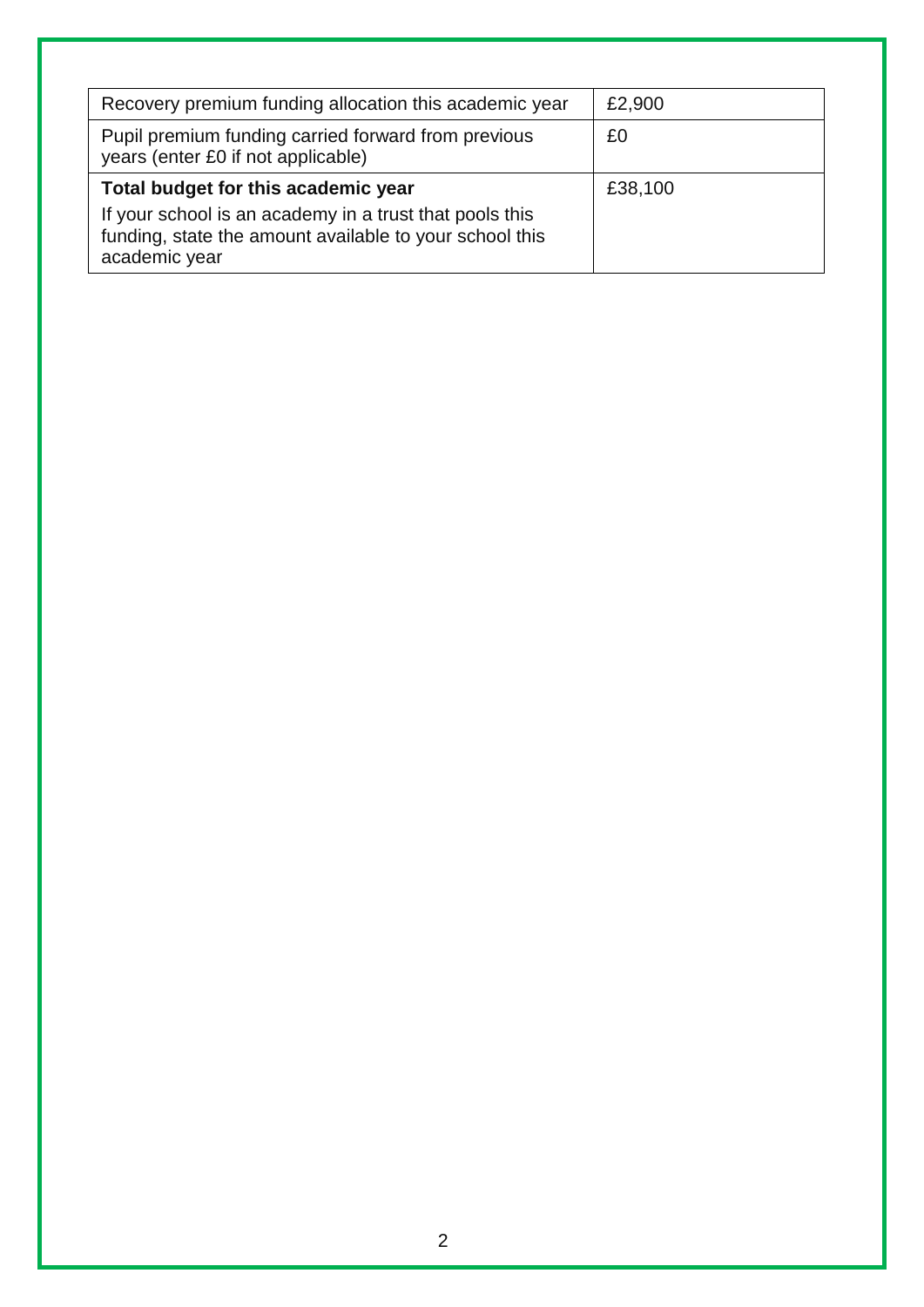| Recovery premium funding allocation this academic year                                                                              | £2,900  |
|-------------------------------------------------------------------------------------------------------------------------------------|---------|
| Pupil premium funding carried forward from previous<br>years (enter £0 if not applicable)                                           | £0      |
| Total budget for this academic year                                                                                                 | £38,100 |
| If your school is an academy in a trust that pools this<br>funding, state the amount available to your school this<br>academic year |         |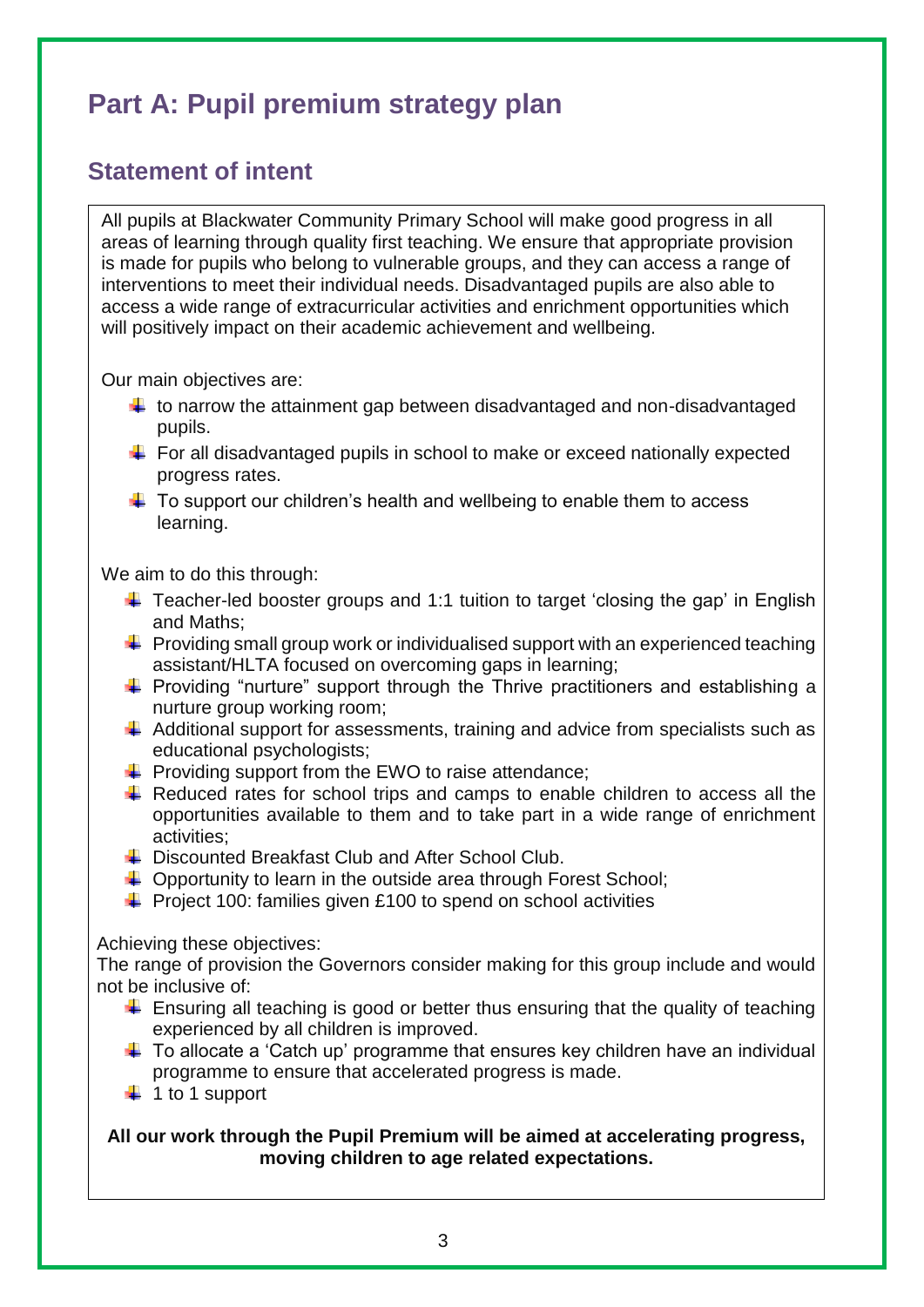# **Part A: Pupil premium strategy plan**

## **Statement of intent**

All pupils at Blackwater Community Primary School will make good progress in all areas of learning through quality first teaching. We ensure that appropriate provision is made for pupils who belong to vulnerable groups, and they can access a range of interventions to meet their individual needs. Disadvantaged pupils are also able to access a wide range of extracurricular activities and enrichment opportunities which will positively impact on their academic achievement and wellbeing.

Our main objectives are:

- $\ddagger$  to narrow the attainment gap between disadvantaged and non-disadvantaged pupils.
- $\pm$  For all disadvantaged pupils in school to make or exceed nationally expected progress rates.
- $\ddot{\phantom{1}}$  To support our children's health and wellbeing to enable them to access learning.

We aim to do this through:

- $\downarrow$  Teacher-led booster groups and 1:1 tuition to target 'closing the gap' in English and Maths;
- $\ddot{\phantom{1}}$  Providing small group work or individualised support with an experienced teaching assistant/HLTA focused on overcoming gaps in learning;
- $\ddot{\phantom{1}}$  Providing "nurture" support through the Thrive practitioners and establishing a nurture group working room;
- $\ddot{+}$  Additional support for assessments, training and advice from specialists such as educational psychologists;
- $\overline{\text{L}}$  Providing support from the EWO to raise attendance;
- $\overline{\text{4}}$  Reduced rates for school trips and camps to enable children to access all the opportunities available to them and to take part in a wide range of enrichment activities;
- **↓** Discounted Breakfast Club and After School Club.
- $\triangleq$  Opportunity to learn in the outside area through Forest School:
- $\downarrow$  Project 100: families given £100 to spend on school activities

### Achieving these objectives:

The range of provision the Governors consider making for this group include and would not be inclusive of:

- $\ddot{+}$  Ensuring all teaching is good or better thus ensuring that the quality of teaching experienced by all children is improved.
- $\ddot{\text{+}}$  To allocate a 'Catch up' programme that ensures key children have an individual programme to ensure that accelerated progress is made.
- $\ddagger$  1 to 1 support

**All our work through the Pupil Premium will be aimed at accelerating progress, moving children to age related expectations.**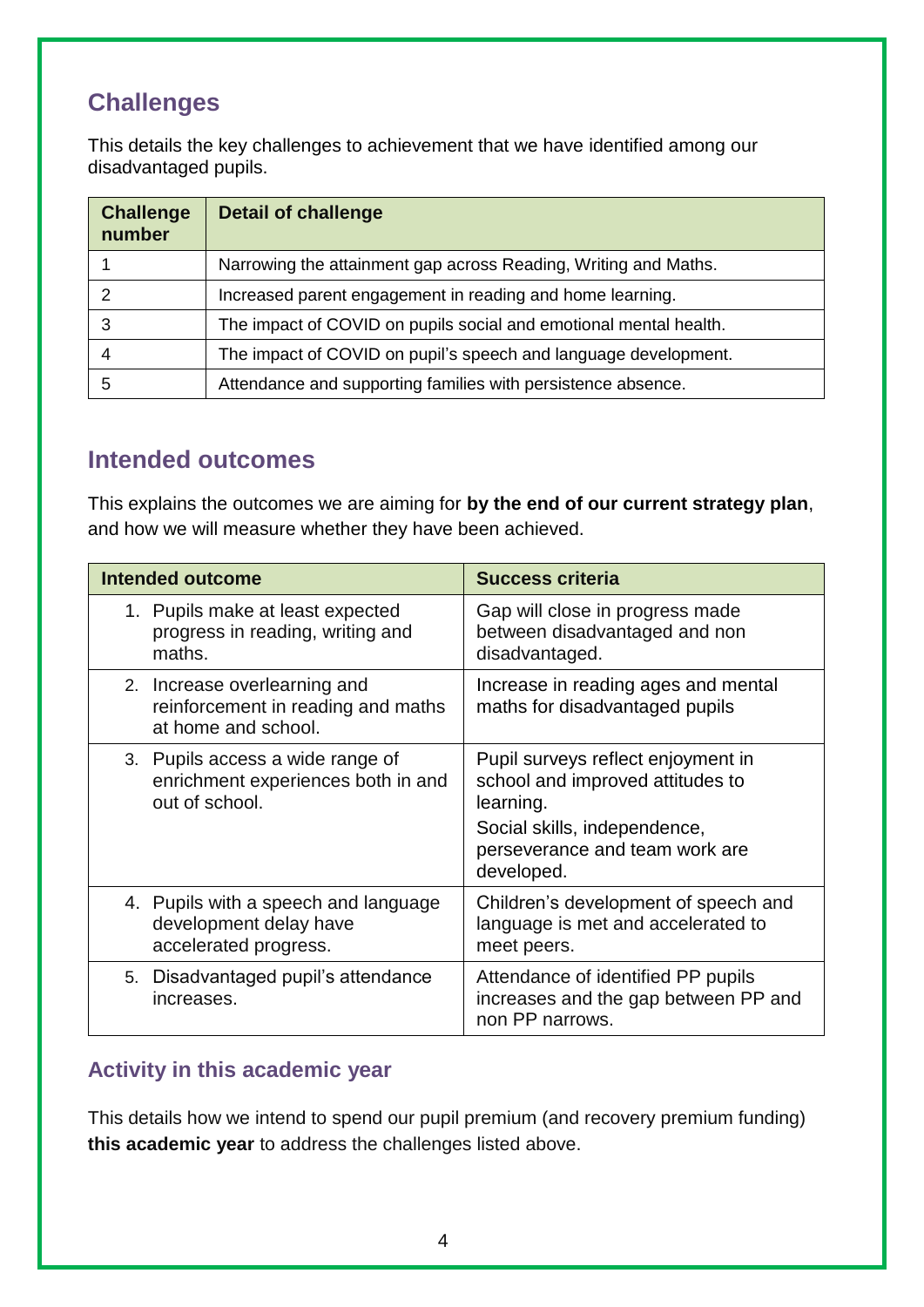## **Challenges**

This details the key challenges to achievement that we have identified among our disadvantaged pupils.

| <b>Challenge</b><br>number | <b>Detail of challenge</b>                                        |
|----------------------------|-------------------------------------------------------------------|
|                            | Narrowing the attainment gap across Reading, Writing and Maths.   |
|                            | Increased parent engagement in reading and home learning.         |
| 3                          | The impact of COVID on pupils social and emotional mental health. |
|                            | The impact of COVID on pupil's speech and language development.   |
| 5                          | Attendance and supporting families with persistence absence.      |

## **Intended outcomes**

This explains the outcomes we are aiming for **by the end of our current strategy plan**, and how we will measure whether they have been achieved.

| <b>Intended outcome</b>                                                                   | <b>Success criteria</b>                                                                                                                                             |  |
|-------------------------------------------------------------------------------------------|---------------------------------------------------------------------------------------------------------------------------------------------------------------------|--|
| 1. Pupils make at least expected<br>progress in reading, writing and<br>maths.            | Gap will close in progress made<br>between disadvantaged and non<br>disadvantaged.                                                                                  |  |
| 2. Increase overlearning and<br>reinforcement in reading and maths<br>at home and school. | Increase in reading ages and mental<br>maths for disadvantaged pupils                                                                                               |  |
| 3. Pupils access a wide range of<br>enrichment experiences both in and<br>out of school.  | Pupil surveys reflect enjoyment in<br>school and improved attitudes to<br>learning.<br>Social skills, independence,<br>perseverance and team work are<br>developed. |  |
| 4. Pupils with a speech and language<br>development delay have<br>accelerated progress.   | Children's development of speech and<br>language is met and accelerated to<br>meet peers.                                                                           |  |
| 5. Disadvantaged pupil's attendance<br>increases.                                         | Attendance of identified PP pupils<br>increases and the gap between PP and<br>non PP narrows.                                                                       |  |

## **Activity in this academic year**

This details how we intend to spend our pupil premium (and recovery premium funding) **this academic year** to address the challenges listed above.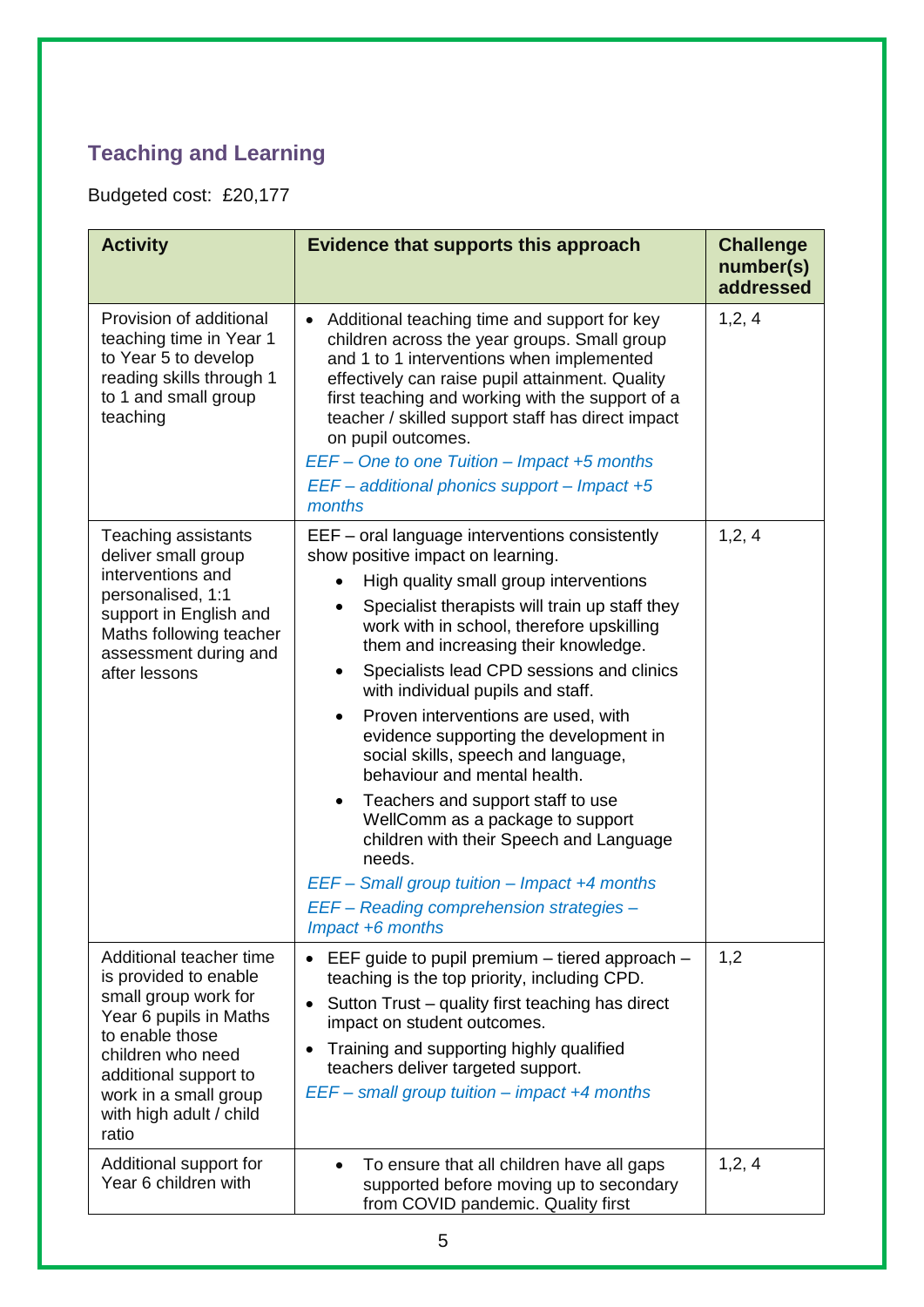## **Teaching and Learning**

Budgeted cost: £20,177

| <b>Activity</b>                                                                                                                                                                                                                  | Evidence that supports this approach                                                                                                                                                                                                                                                                                                                                                                                                                                                                                                                                                                                                                                                                                                                                                                | <b>Challenge</b><br>number(s)<br>addressed |
|----------------------------------------------------------------------------------------------------------------------------------------------------------------------------------------------------------------------------------|-----------------------------------------------------------------------------------------------------------------------------------------------------------------------------------------------------------------------------------------------------------------------------------------------------------------------------------------------------------------------------------------------------------------------------------------------------------------------------------------------------------------------------------------------------------------------------------------------------------------------------------------------------------------------------------------------------------------------------------------------------------------------------------------------------|--------------------------------------------|
| Provision of additional<br>teaching time in Year 1<br>to Year 5 to develop<br>reading skills through 1<br>to 1 and small group<br>teaching                                                                                       | Additional teaching time and support for key<br>$\bullet$<br>children across the year groups. Small group<br>and 1 to 1 interventions when implemented<br>effectively can raise pupil attainment. Quality<br>first teaching and working with the support of a<br>teacher / skilled support staff has direct impact<br>on pupil outcomes.<br>EEF - One to one Tuition - Impact +5 months<br>EEF - additional phonics support - Impact +5<br>months                                                                                                                                                                                                                                                                                                                                                   | 1,2,4                                      |
| Teaching assistants<br>deliver small group<br>interventions and<br>personalised, 1:1<br>support in English and<br>Maths following teacher<br>assessment during and<br>after lessons                                              | EEF – oral language interventions consistently<br>show positive impact on learning.<br>High quality small group interventions<br>Specialist therapists will train up staff they<br>work with in school, therefore upskilling<br>them and increasing their knowledge.<br>Specialists lead CPD sessions and clinics<br>$\bullet$<br>with individual pupils and staff.<br>Proven interventions are used, with<br>$\bullet$<br>evidence supporting the development in<br>social skills, speech and language,<br>behaviour and mental health.<br>Teachers and support staff to use<br>$\bullet$<br>WellComm as a package to support<br>children with their Speech and Language<br>needs.<br>EEF - Small group tuition - Impact +4 months<br>EEF - Reading comprehension strategies -<br>Impact +6 months | 1,2,4                                      |
| Additional teacher time<br>is provided to enable<br>small group work for<br>Year 6 pupils in Maths<br>to enable those<br>children who need<br>additional support to<br>work in a small group<br>with high adult / child<br>ratio | EEF guide to pupil premium - tiered approach -<br>teaching is the top priority, including CPD.<br>Sutton Trust - quality first teaching has direct<br>$\bullet$<br>impact on student outcomes.<br>Training and supporting highly qualified<br>٠<br>teachers deliver targeted support.<br>$EEF$ – small group tuition – impact +4 months                                                                                                                                                                                                                                                                                                                                                                                                                                                             | 1,2                                        |
| Additional support for<br>Year 6 children with                                                                                                                                                                                   | To ensure that all children have all gaps<br>supported before moving up to secondary<br>from COVID pandemic. Quality first                                                                                                                                                                                                                                                                                                                                                                                                                                                                                                                                                                                                                                                                          | 1,2,4                                      |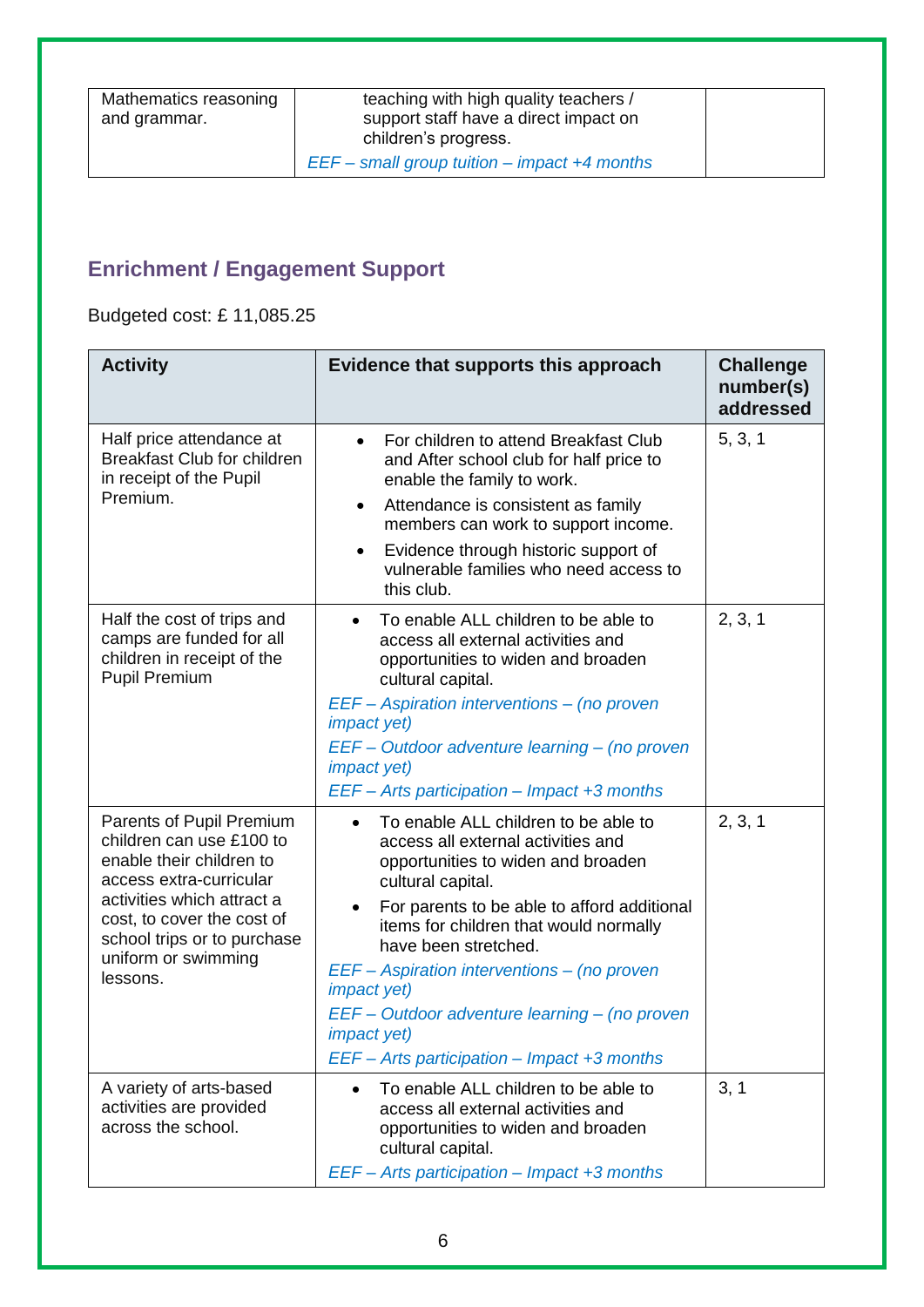| Mathematics reasoning<br>and grammar. | teaching with high quality teachers /<br>support staff have a direct impact on<br>children's progress. |  |
|---------------------------------------|--------------------------------------------------------------------------------------------------------|--|
|                                       | $EEF$ – small group tuition – impact $+4$ months                                                       |  |

# **Enrichment / Engagement Support**

Budgeted cost: £ 11,085.25

| <b>Activity</b>                                                                                                                                                                                                                           | Evidence that supports this approach                                                                                                                                                                                                                                                                                                                                                                                                                                 | <b>Challenge</b><br>number(s)<br>addressed |
|-------------------------------------------------------------------------------------------------------------------------------------------------------------------------------------------------------------------------------------------|----------------------------------------------------------------------------------------------------------------------------------------------------------------------------------------------------------------------------------------------------------------------------------------------------------------------------------------------------------------------------------------------------------------------------------------------------------------------|--------------------------------------------|
| Half price attendance at<br><b>Breakfast Club for children</b><br>in receipt of the Pupil<br>Premium.                                                                                                                                     | For children to attend Breakfast Club<br>$\bullet$<br>and After school club for half price to<br>enable the family to work.<br>Attendance is consistent as family<br>$\bullet$<br>members can work to support income.<br>Evidence through historic support of<br>$\bullet$<br>vulnerable families who need access to<br>this club.                                                                                                                                   | 5, 3, 1                                    |
| Half the cost of trips and<br>camps are funded for all<br>children in receipt of the<br><b>Pupil Premium</b>                                                                                                                              | To enable ALL children to be able to<br>access all external activities and<br>opportunities to widen and broaden<br>cultural capital.<br>EEF - Aspiration interventions - (no proven<br><i>impact yet)</i><br>EEF - Outdoor adventure learning - (no proven<br><i>impact yet)</i><br>EEF - Arts participation - Impact +3 months                                                                                                                                     | 2, 3, 1                                    |
| Parents of Pupil Premium<br>children can use £100 to<br>enable their children to<br>access extra-curricular<br>activities which attract a<br>cost, to cover the cost of<br>school trips or to purchase<br>uniform or swimming<br>lessons. | To enable ALL children to be able to<br>$\bullet$<br>access all external activities and<br>opportunities to widen and broaden<br>cultural capital.<br>For parents to be able to afford additional<br>items for children that would normally<br>have been stretched.<br>EEF - Aspiration interventions - (no proven<br><i>impact yet)</i><br>EEF - Outdoor adventure learning - (no proven<br><i>impact yet)</i><br>$EEF - Arts$ participation $-$ Impact $+3$ months | 2, 3, 1                                    |
| A variety of arts-based<br>activities are provided<br>across the school.                                                                                                                                                                  | To enable ALL children to be able to<br>access all external activities and<br>opportunities to widen and broaden<br>cultural capital.<br>EEF - Arts participation - Impact +3 months                                                                                                                                                                                                                                                                                 | 3, 1                                       |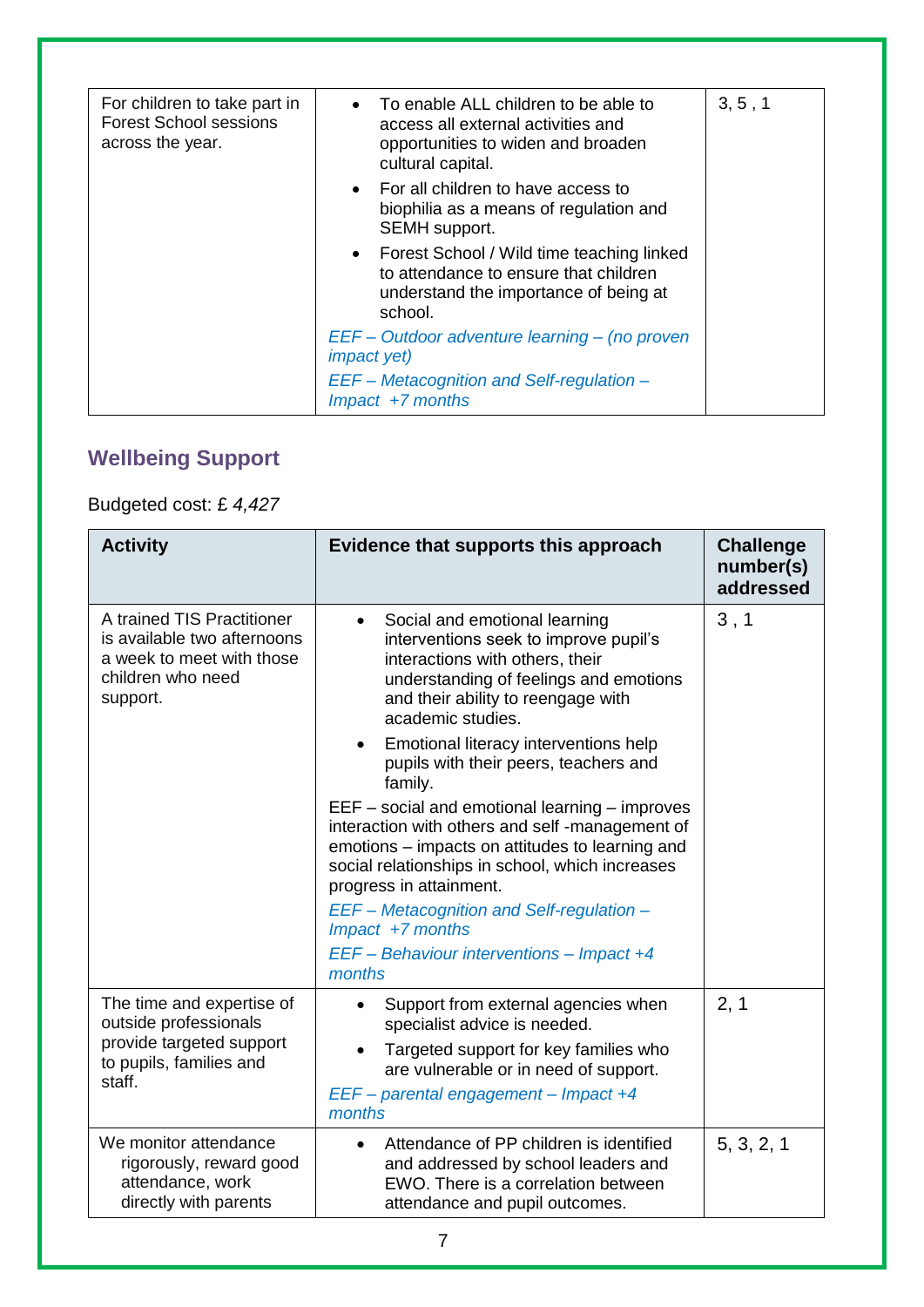| For children to take part in<br><b>Forest School sessions</b><br>across the year. | • To enable ALL children to be able to<br>access all external activities and<br>opportunities to widen and broaden<br>cultural capital.  | 3, 5, 1 |
|-----------------------------------------------------------------------------------|------------------------------------------------------------------------------------------------------------------------------------------|---------|
|                                                                                   | • For all children to have access to<br>biophilia as a means of regulation and<br>SEMH support.                                          |         |
|                                                                                   | • Forest School / Wild time teaching linked<br>to attendance to ensure that children<br>understand the importance of being at<br>school. |         |
|                                                                                   | EEF - Outdoor adventure learning - (no proven<br><i>impact yet)</i>                                                                      |         |
|                                                                                   | EEF - Metacognition and Self-regulation -<br>Impact +7 months                                                                            |         |

# **Wellbeing Support**

Budgeted cost: £ *4,427*

| <b>Activity</b>                                                                                                         | Evidence that supports this approach                                                                                                                                                                                               | <b>Challenge</b><br>number(s)<br>addressed |
|-------------------------------------------------------------------------------------------------------------------------|------------------------------------------------------------------------------------------------------------------------------------------------------------------------------------------------------------------------------------|--------------------------------------------|
| A trained TIS Practitioner<br>is available two afternoons<br>a week to meet with those<br>children who need<br>support. | Social and emotional learning<br>$\bullet$<br>interventions seek to improve pupil's<br>interactions with others, their<br>understanding of feelings and emotions<br>and their ability to reengage with<br>academic studies.        | 3, 1                                       |
|                                                                                                                         | Emotional literacy interventions help<br>$\bullet$<br>pupils with their peers, teachers and<br>family.                                                                                                                             |                                            |
|                                                                                                                         | EEF – social and emotional learning – improves<br>interaction with others and self -management of<br>emotions – impacts on attitudes to learning and<br>social relationships in school, which increases<br>progress in attainment. |                                            |
|                                                                                                                         | EEF-Metacognition and Self-regulation-<br>Impact +7 months                                                                                                                                                                         |                                            |
|                                                                                                                         | EEF - Behaviour interventions - Impact +4<br>months                                                                                                                                                                                |                                            |
| The time and expertise of<br>outside professionals                                                                      | Support from external agencies when<br>specialist advice is needed.                                                                                                                                                                | 2, 1                                       |
| provide targeted support<br>to pupils, families and                                                                     | Targeted support for key families who<br>are vulnerable or in need of support.                                                                                                                                                     |                                            |
| staff.                                                                                                                  | EEF- parental engagement- Impact +4<br>months                                                                                                                                                                                      |                                            |
| We monitor attendance<br>rigorously, reward good<br>attendance, work<br>directly with parents                           | Attendance of PP children is identified<br>and addressed by school leaders and<br>EWO. There is a correlation between<br>attendance and pupil outcomes.                                                                            | 5, 3, 2, 1                                 |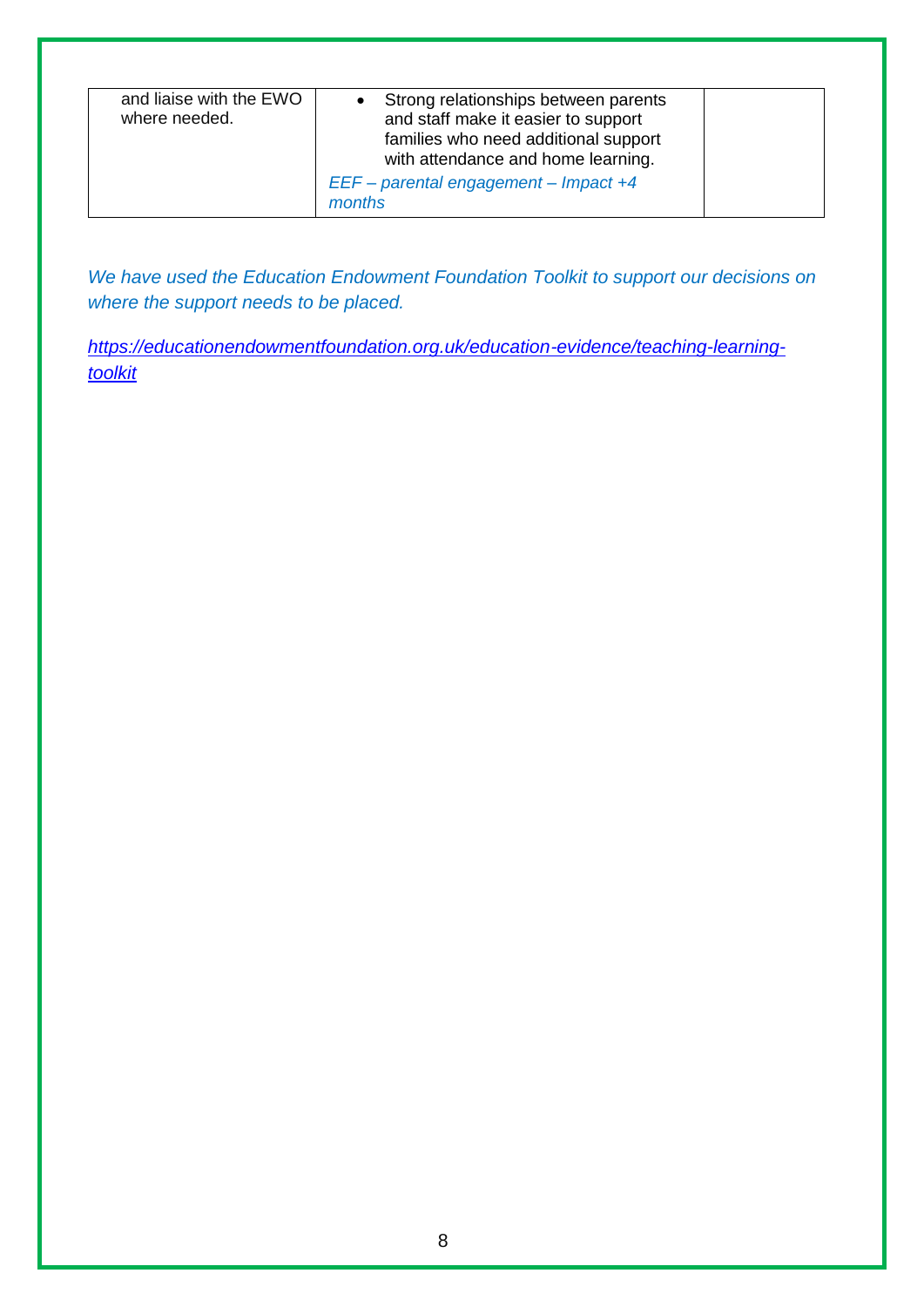| and liaise with the EWO<br>where needed. | Strong relationships between parents<br>and staff make it easier to support<br>families who need additional support<br>with attendance and home learning. |  |
|------------------------------------------|-----------------------------------------------------------------------------------------------------------------------------------------------------------|--|
|                                          | $EEF$ – parental engagement – Impact +4<br>months                                                                                                         |  |

*We have used the Education Endowment Foundation Toolkit to support our decisions on where the support needs to be placed.* 

*[https://educationendowmentfoundation.org.uk/education-evidence/teaching-learning](https://educationendowmentfoundation.org.uk/education-evidence/teaching-learning-toolkit)[toolkit](https://educationendowmentfoundation.org.uk/education-evidence/teaching-learning-toolkit)*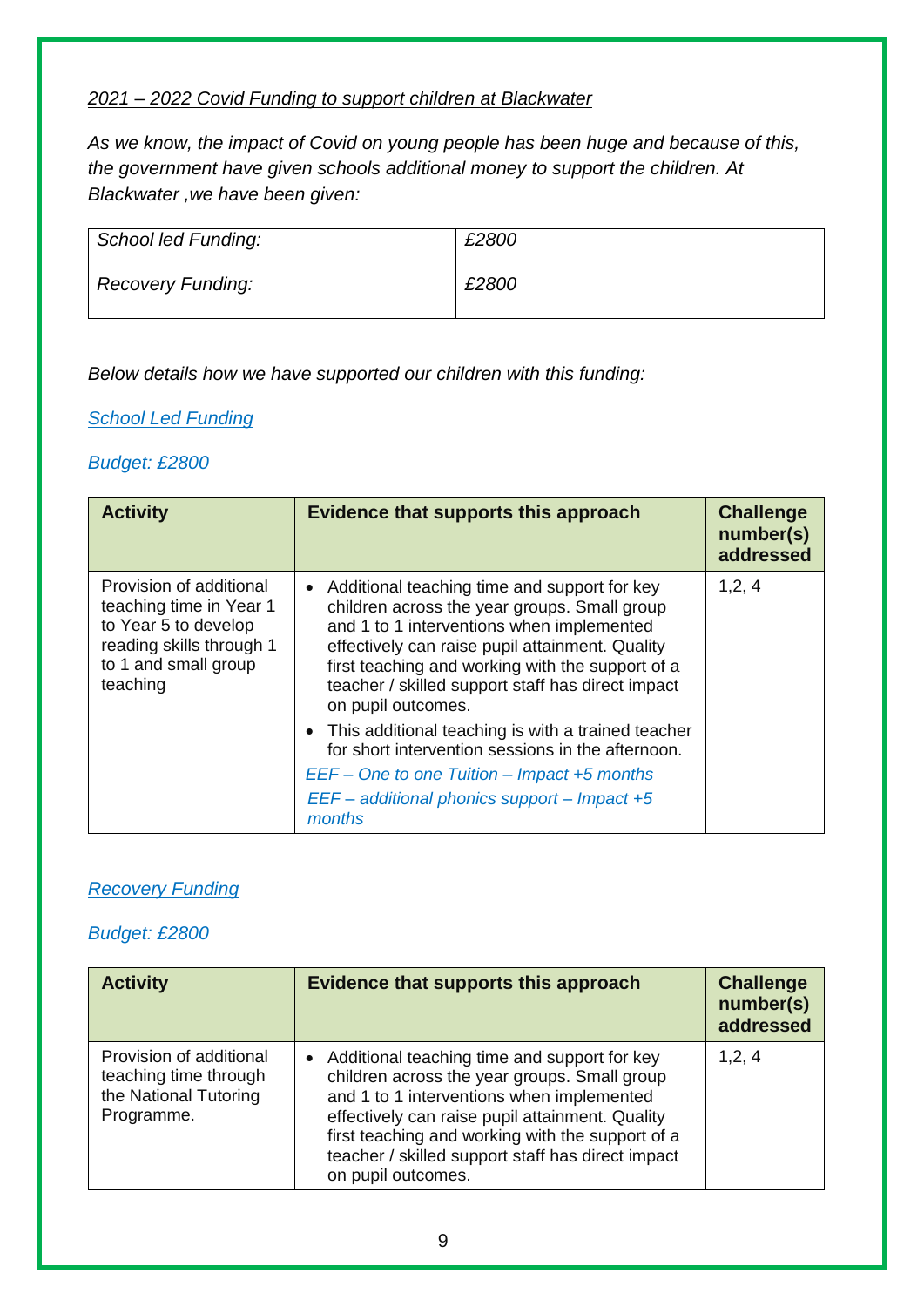### *2021 – 2022 Covid Funding to support children at Blackwater*

*As we know, the impact of Covid on young people has been huge and because of this, the government have given schools additional money to support the children. At Blackwater ,we have been given:* 

| <b>School led Funding:</b> | £2800 |
|----------------------------|-------|
| <b>Recovery Funding:</b>   | £2800 |

*Below details how we have supported our children with this funding:* 

### *School Led Funding*

#### *Budget: £2800*

| <b>Activity</b>                                                                                                                            | Evidence that supports this approach                                                                                                                                                                                                                                                                                                     | <b>Challenge</b><br>number(s)<br>addressed |
|--------------------------------------------------------------------------------------------------------------------------------------------|------------------------------------------------------------------------------------------------------------------------------------------------------------------------------------------------------------------------------------------------------------------------------------------------------------------------------------------|--------------------------------------------|
| Provision of additional<br>teaching time in Year 1<br>to Year 5 to develop<br>reading skills through 1<br>to 1 and small group<br>teaching | Additional teaching time and support for key<br>$\bullet$<br>children across the year groups. Small group<br>and 1 to 1 interventions when implemented<br>effectively can raise pupil attainment. Quality<br>first teaching and working with the support of a<br>teacher / skilled support staff has direct impact<br>on pupil outcomes. | 1, 2, 4                                    |
|                                                                                                                                            | • This additional teaching is with a trained teacher<br>for short intervention sessions in the afternoon.<br>$EEF - One$ to one Tuition - Impact $+5$ months<br>EEF - additional phonics support - Impact +5<br>months                                                                                                                   |                                            |

### *Recovery Funding*

### *Budget: £2800*

| <b>Activity</b>                                                                         | Evidence that supports this approach                                                                                                                                                                                                                                                                                                     | <b>Challenge</b><br>number(s)<br>addressed |
|-----------------------------------------------------------------------------------------|------------------------------------------------------------------------------------------------------------------------------------------------------------------------------------------------------------------------------------------------------------------------------------------------------------------------------------------|--------------------------------------------|
| Provision of additional<br>teaching time through<br>the National Tutoring<br>Programme. | Additional teaching time and support for key<br>$\bullet$<br>children across the year groups. Small group<br>and 1 to 1 interventions when implemented<br>effectively can raise pupil attainment. Quality<br>first teaching and working with the support of a<br>teacher / skilled support staff has direct impact<br>on pupil outcomes. | 1, 2, 4                                    |